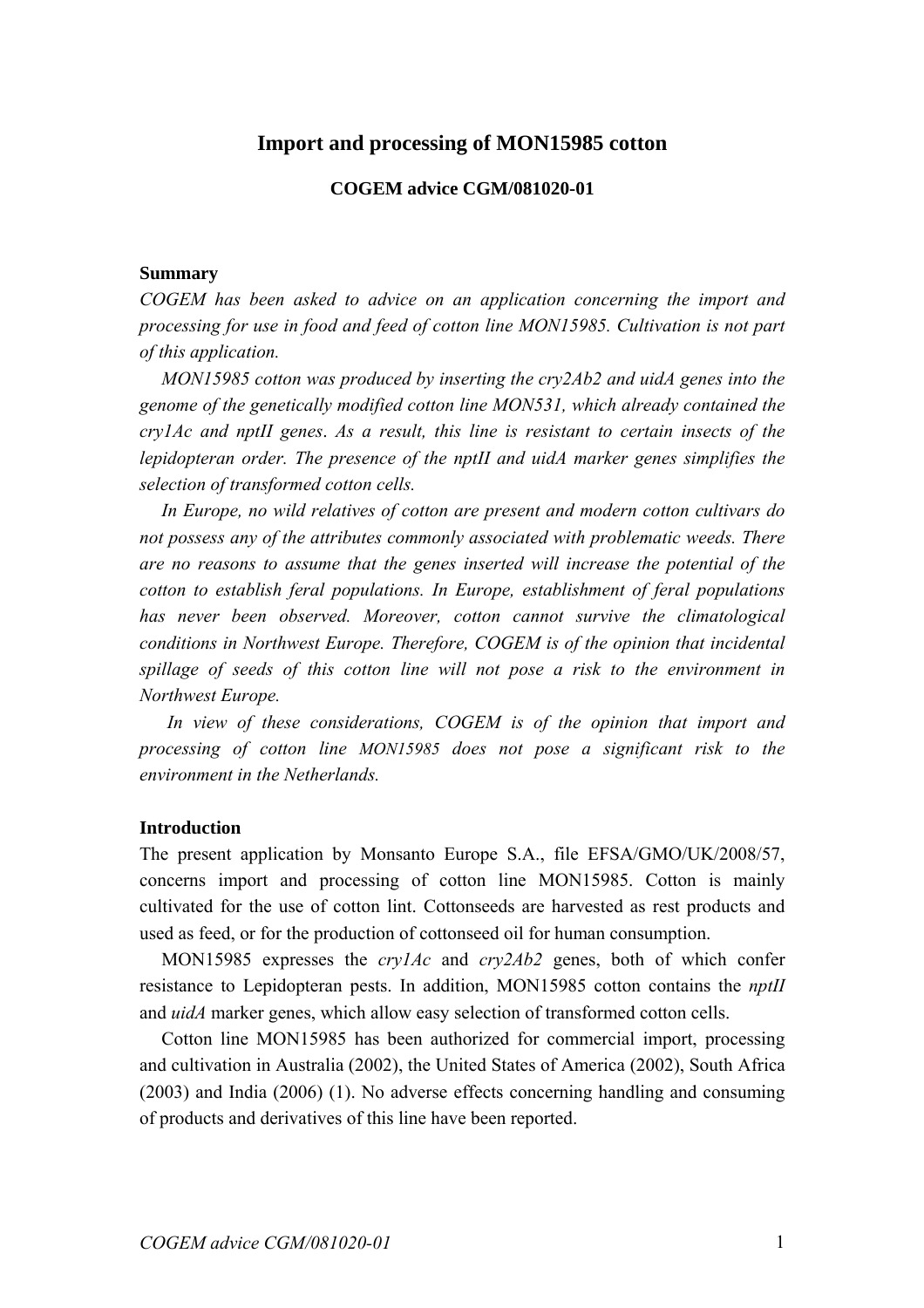# **Import and processing of MON15985 cotton**

### **COGEM advice CGM/081020-01**

#### **Summary**

*COGEM has been asked to advice on an application concerning the import and processing for use in food and feed of cotton line MON15985. Cultivation is not part of this application.* 

 *MON15985 cotton was produced by inserting the cry2Ab2 and uidA genes into the genome of the genetically modified cotton line MON531, which already contained the cry1Ac and nptII genes*. *As a result, this line is resistant to certain insects of the lepidopteran order. The presence of the nptII and uidA marker genes simplifies the selection of transformed cotton cells.* 

 *In Europe, no wild relatives of cotton are present and modern cotton cultivars do not possess any of the attributes commonly associated with problematic weeds. There are no reasons to assume that the genes inserted will increase the potential of the cotton to establish feral populations. In Europe, establishment of feral populations has never been observed. Moreover, cotton cannot survive the climatological conditions in Northwest Europe. Therefore, COGEM is of the opinion that incidental spillage of seeds of this cotton line will not pose a risk to the environment in Northwest Europe.* 

 *In view of these considerations, COGEM is of the opinion that import and processing of cotton line MON15985 does not pose a significant risk to the environment in the Netherlands.*

#### **Introduction**

The present application by Monsanto Europe S.A., file EFSA/GMO/UK/2008/57, concerns import and processing of cotton line MON15985. Cotton is mainly cultivated for the use of cotton lint. Cottonseeds are harvested as rest products and used as feed, or for the production of cottonseed oil for human consumption.

 MON15985 expresses the *cry1Ac* and *cry2Ab2* genes, both of which confer resistance to Lepidopteran pests. In addition, MON15985 cotton contains the *nptII*  and *uidA* marker genes, which allow easy selection of transformed cotton cells.

 Cotton line MON15985 has been authorized for commercial import, processing and cultivation in Australia (2002), the United States of America (2002), South Africa (2003) and India (2006) (1). No adverse effects concerning handling and consuming of products and derivatives of this line have been reported.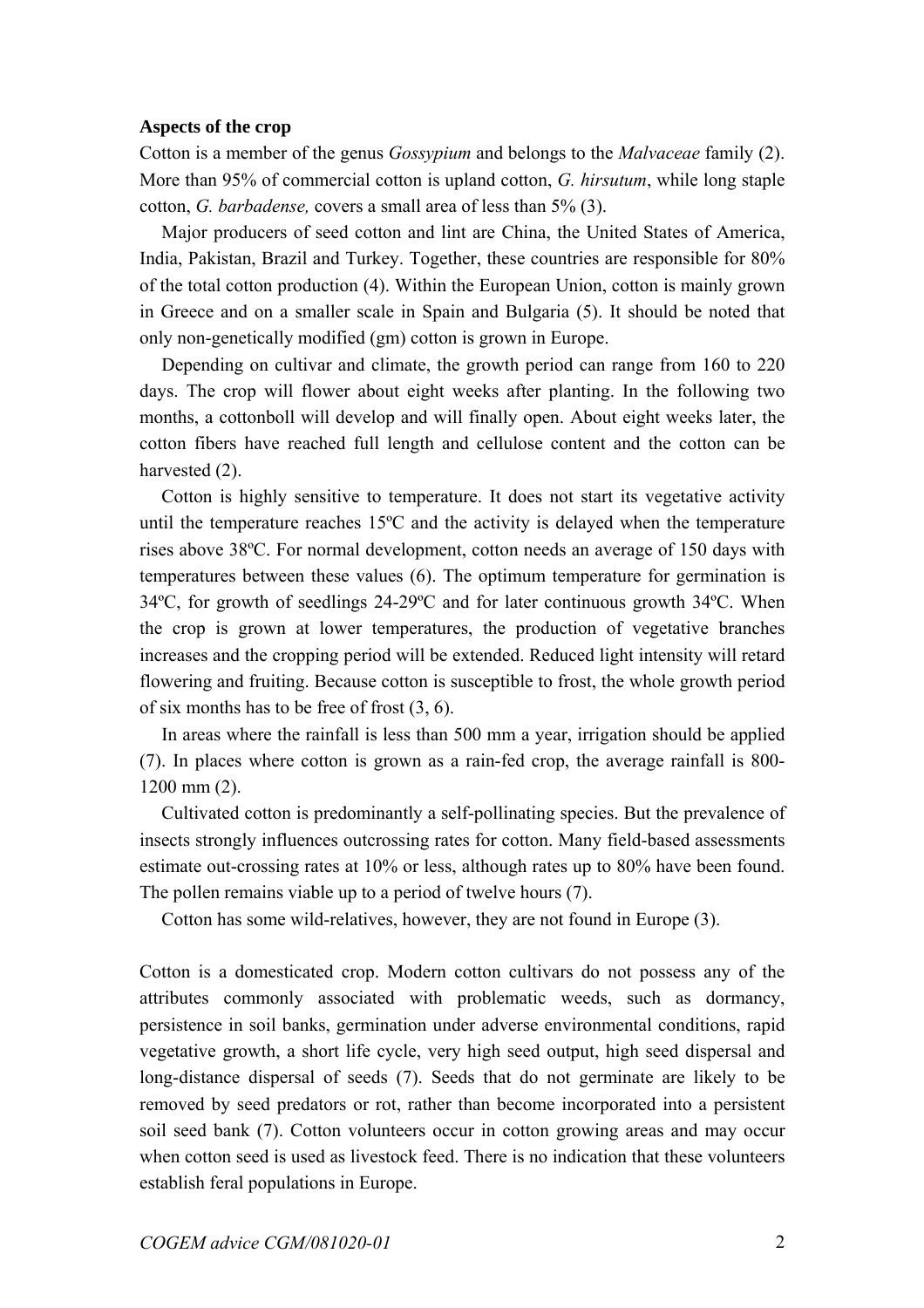### **Aspects of the crop**

Cotton is a member of the genus *Gossypium* and belongs to the *Malvaceae* family (2). More than 95% of commercial cotton is upland cotton, *G. hirsutum*, while long staple cotton, *G. barbadense,* covers a small area of less than 5% (3).

 Major producers of seed cotton and lint are China, the United States of America, India, Pakistan, Brazil and Turkey. Together, these countries are responsible for 80% of the total cotton production (4). Within the European Union, cotton is mainly grown in Greece and on a smaller scale in Spain and Bulgaria (5). It should be noted that only non-genetically modified (gm) cotton is grown in Europe.

 Depending on cultivar and climate, the growth period can range from 160 to 220 days. The crop will flower about eight weeks after planting. In the following two months, a cottonboll will develop and will finally open. About eight weeks later, the cotton fibers have reached full length and cellulose content and the cotton can be harvested  $(2)$ .

 Cotton is highly sensitive to temperature. It does not start its vegetative activity until the temperature reaches 15ºC and the activity is delayed when the temperature rises above 38ºC. For normal development, cotton needs an average of 150 days with temperatures between these values (6). The optimum temperature for germination is 34ºC, for growth of seedlings 24-29ºC and for later continuous growth 34ºC. When the crop is grown at lower temperatures, the production of vegetative branches increases and the cropping period will be extended. Reduced light intensity will retard flowering and fruiting. Because cotton is susceptible to frost, the whole growth period of six months has to be free of frost (3, 6).

 In areas where the rainfall is less than 500 mm a year, irrigation should be applied (7). In places where cotton is grown as a rain-fed crop, the average rainfall is 800- 1200 mm (2).

 Cultivated cotton is predominantly a self-pollinating species. But the prevalence of insects strongly influences outcrossing rates for cotton. Many field-based assessments estimate out-crossing rates at 10% or less, although rates up to 80% have been found. The pollen remains viable up to a period of twelve hours (7).

Cotton has some wild-relatives, however, they are not found in Europe (3).

Cotton is a domesticated crop. Modern cotton cultivars do not possess any of the attributes commonly associated with problematic weeds, such as dormancy, persistence in soil banks, germination under adverse environmental conditions, rapid vegetative growth, a short life cycle, very high seed output, high seed dispersal and long-distance dispersal of seeds (7). Seeds that do not germinate are likely to be removed by seed predators or rot, rather than become incorporated into a persistent soil seed bank (7). Cotton volunteers occur in cotton growing areas and may occur when cotton seed is used as livestock feed. There is no indication that these volunteers establish feral populations in Europe.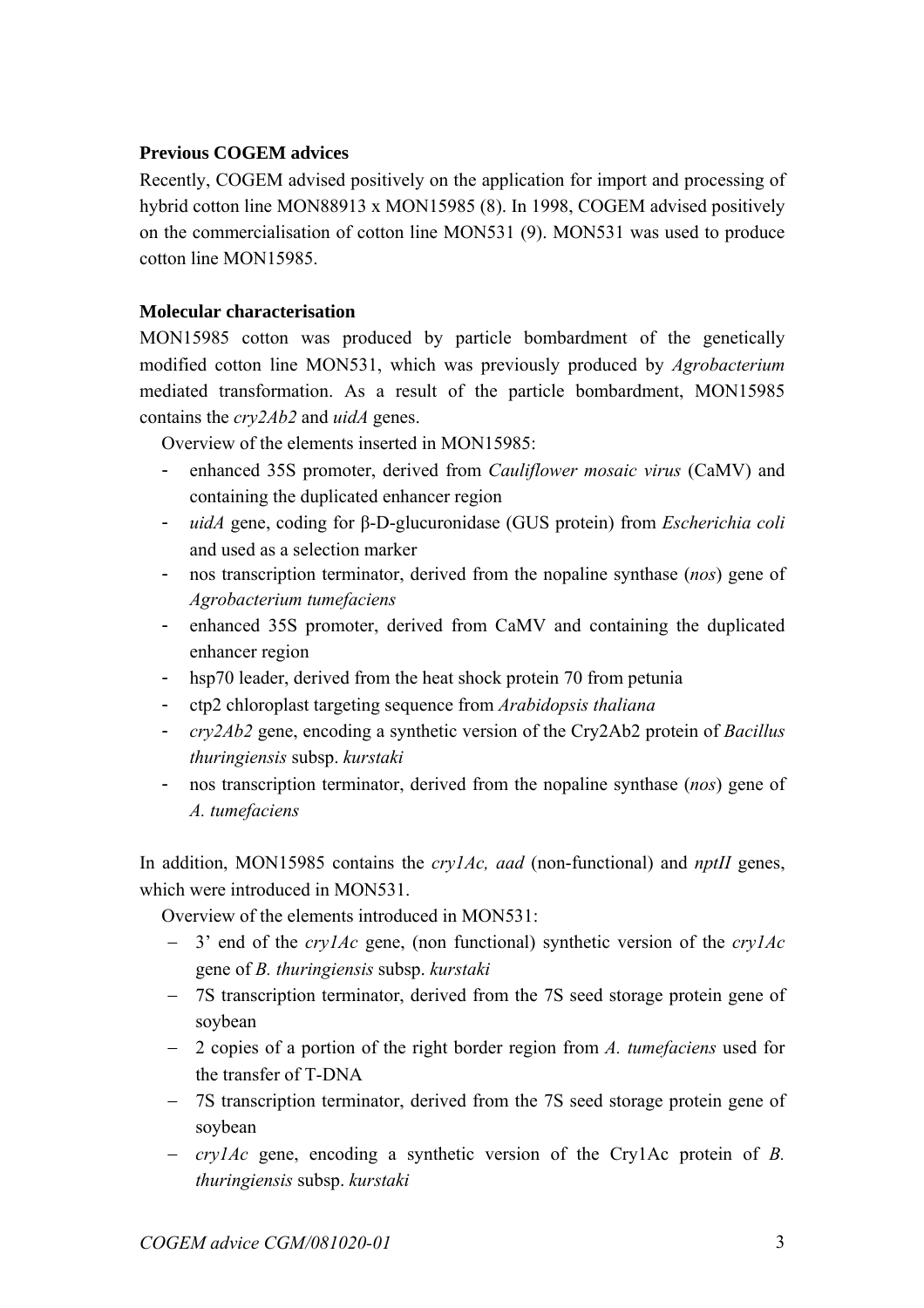# **Previous COGEM advices**

Recently, COGEM advised positively on the application for import and processing of hybrid cotton line MON88913 x MON15985 (8). In 1998, COGEM advised positively on the commercialisation of cotton line MON531 (9). MON531 was used to produce cotton line MON15985.

# **Molecular characterisation**

MON15985 cotton was produced by particle bombardment of the genetically modified cotton line MON531, which was previously produced by *Agrobacterium*  mediated transformation. As a result of the particle bombardment, MON15985 contains the *cry2Ab2* and *uidA* genes.

Overview of the elements inserted in MON15985:

- enhanced 35S promoter, derived from *Cauliflower mosaic virus* (CaMV) and containing the duplicated enhancer region
- *uidA* gene, coding for β-D-glucuronidase (GUS protein) from *Escherichia coli*  and used as a selection marker
- nos transcription terminator, derived from the nopaline synthase (*nos*) gene of *Agrobacterium tumefaciens*
- enhanced 35S promoter, derived from CaMV and containing the duplicated enhancer region
- hsp70 leader, derived from the heat shock protein 70 from petunia
- ctp2 chloroplast targeting sequence from *Arabidopsis thaliana*
- *cry2Ab2* gene, encoding a synthetic version of the Cry2Ab2 protein of *Bacillus thuringiensis* subsp. *kurstaki*
- nos transcription terminator, derived from the nopaline synthase (*nos*) gene of *A. tumefaciens*

In addition, MON15985 contains the *cry1Ac, aad* (non-functional) and *nptII* genes, which were introduced in MON531.

Overview of the elements introduced in MON531:

- − 3' end of the *cry1Ac* gene, (non functional) synthetic version of the *cry1Ac*  gene of *B. thuringiensis* subsp. *kurstaki*
- − 7S transcription terminator, derived from the 7S seed storage protein gene of soybean
- − 2 copies of a portion of the right border region from *A. tumefaciens* used for the transfer of T-DNA
- − 7S transcription terminator, derived from the 7S seed storage protein gene of soybean
- − *cry1Ac* gene, encoding a synthetic version of the Cry1Ac protein of *B. thuringiensis* subsp. *kurstaki*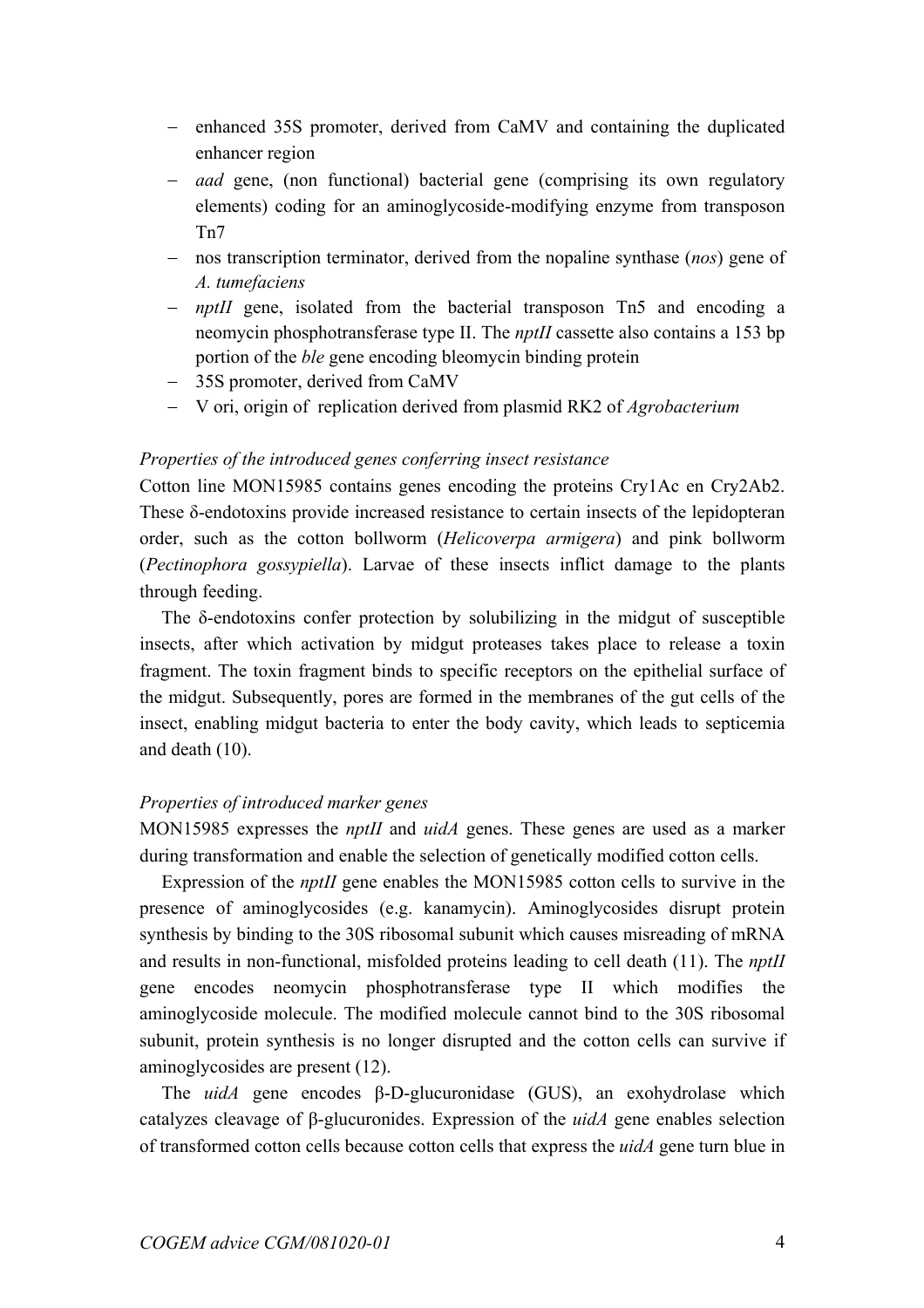- − enhanced 35S promoter, derived from CaMV and containing the duplicated enhancer region
- − *aad* gene, (non functional) bacterial gene (comprising its own regulatory elements) coding for an aminoglycoside-modifying enzyme from transposon Tn7
- − nos transcription terminator, derived from the nopaline synthase (*nos*) gene of *A. tumefaciens*
- − *nptII* gene, isolated from the bacterial transposon Tn5 and encoding a neomycin phosphotransferase type II. The *nptII* cassette also contains a 153 bp portion of the *ble* gene encoding bleomycin binding protein
- − 35S promoter, derived from CaMV
- − V ori, origin of replication derived from plasmid RK2 of *Agrobacterium*

# *Properties of the introduced genes conferring insect resistance*

Cotton line MON15985 contains genes encoding the proteins Cry1Ac en Cry2Ab2. These δ-endotoxins provide increased resistance to certain insects of the lepidopteran order, such as the cotton bollworm (*Helicoverpa armigera*) and pink bollworm (*Pectinophora gossypiella*). Larvae of these insects inflict damage to the plants through feeding.

The  $\delta$ -endotoxins confer protection by solubilizing in the midgut of susceptible insects, after which activation by midgut proteases takes place to release a toxin fragment. The toxin fragment binds to specific receptors on the epithelial surface of the midgut. Subsequently, pores are formed in the membranes of the gut cells of the insect, enabling midgut bacteria to enter the body cavity, which leads to septicemia and death (10).

# *Properties of introduced marker genes*

MON15985 expresses the *nptII* and *uidA* genes. These genes are used as a marker during transformation and enable the selection of genetically modified cotton cells.

Expression of the *nptII* gene enables the MON15985 cotton cells to survive in the presence of aminoglycosides (e.g. kanamycin). Aminoglycosides disrupt protein synthesis by binding to the 30S ribosomal subunit which causes misreading of mRNA and results in non-functional, misfolded proteins leading to cell death (11). The *nptII*  gene encodes neomycin phosphotransferase type II which modifies the aminoglycoside molecule. The modified molecule cannot bind to the 30S ribosomal subunit, protein synthesis is no longer disrupted and the cotton cells can survive if aminoglycosides are present (12).

The *uidA* gene encodes β-D-glucuronidase (GUS), an exohydrolase which catalyzes cleavage of β-glucuronides. Expression of the *uidA* gene enables selection of transformed cotton cells because cotton cells that express the *uidA* gene turn blue in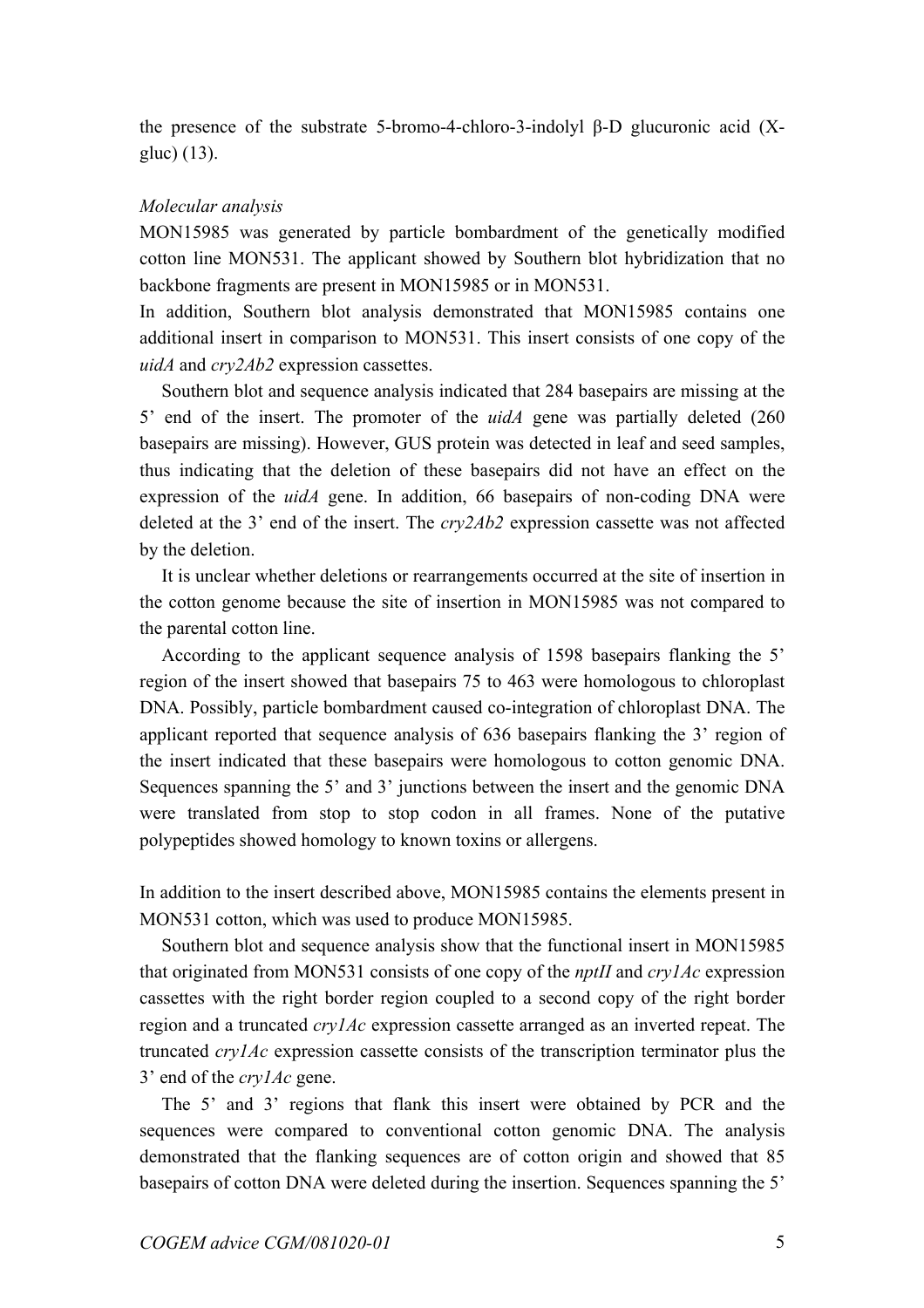the presence of the substrate 5-bromo-4-chloro-3-indolyl β-D glucuronic acid (Xgluc) (13).

# *Molecular analysis*

MON15985 was generated by particle bombardment of the genetically modified cotton line MON531. The applicant showed by Southern blot hybridization that no backbone fragments are present in MON15985 or in MON531.

In addition, Southern blot analysis demonstrated that MON15985 contains one additional insert in comparison to MON531. This insert consists of one copy of the *uidA* and *cry2Ab2* expression cassettes.

Southern blot and sequence analysis indicated that 284 basepairs are missing at the 5' end of the insert. The promoter of the *uidA* gene was partially deleted (260 basepairs are missing). However, GUS protein was detected in leaf and seed samples, thus indicating that the deletion of these basepairs did not have an effect on the expression of the *uidA* gene. In addition, 66 basepairs of non-coding DNA were deleted at the 3' end of the insert. The *cry2Ab2* expression cassette was not affected by the deletion.

It is unclear whether deletions or rearrangements occurred at the site of insertion in the cotton genome because the site of insertion in MON15985 was not compared to the parental cotton line.

 According to the applicant sequence analysis of 1598 basepairs flanking the 5' region of the insert showed that basepairs 75 to 463 were homologous to chloroplast DNA. Possibly, particle bombardment caused co-integration of chloroplast DNA. The applicant reported that sequence analysis of 636 basepairs flanking the 3' region of the insert indicated that these basepairs were homologous to cotton genomic DNA. Sequences spanning the 5' and 3' junctions between the insert and the genomic DNA were translated from stop to stop codon in all frames. None of the putative polypeptides showed homology to known toxins or allergens.

In addition to the insert described above, MON15985 contains the elements present in MON531 cotton, which was used to produce MON15985.

Southern blot and sequence analysis show that the functional insert in MON15985 that originated from MON531 consists of one copy of the *nptII* and *cry1Ac* expression cassettes with the right border region coupled to a second copy of the right border region and a truncated *cry1Ac* expression cassette arranged as an inverted repeat. The truncated *cry1Ac* expression cassette consists of the transcription terminator plus the 3' end of the *cry1Ac* gene.

 The 5' and 3' regions that flank this insert were obtained by PCR and the sequences were compared to conventional cotton genomic DNA. The analysis demonstrated that the flanking sequences are of cotton origin and showed that 85 basepairs of cotton DNA were deleted during the insertion. Sequences spanning the 5'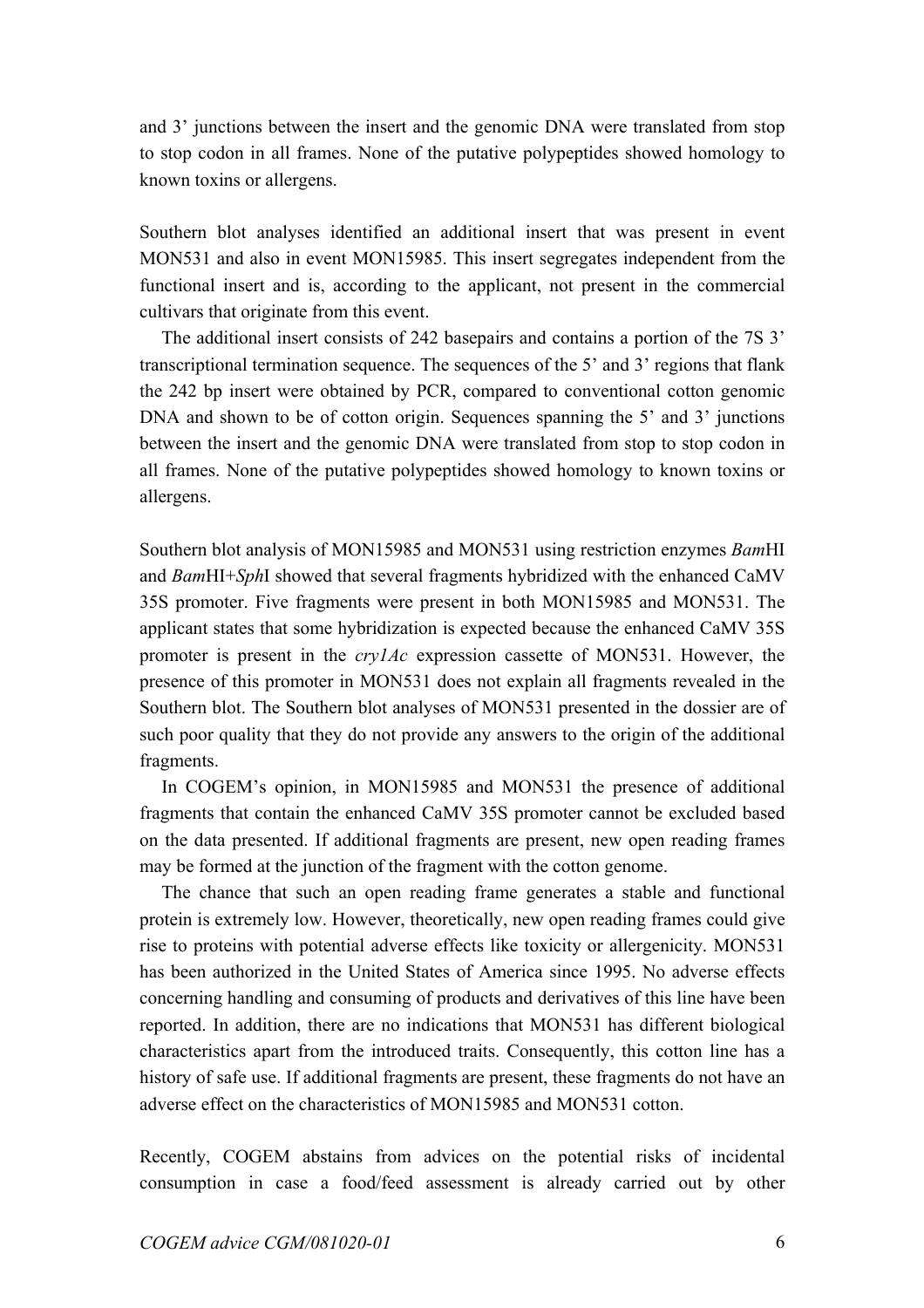and 3' junctions between the insert and the genomic DNA were translated from stop to stop codon in all frames. None of the putative polypeptides showed homology to known toxins or allergens.

Southern blot analyses identified an additional insert that was present in event MON531 and also in event MON15985. This insert segregates independent from the functional insert and is, according to the applicant, not present in the commercial cultivars that originate from this event.

 The additional insert consists of 242 basepairs and contains a portion of the 7S 3' transcriptional termination sequence. The sequences of the 5' and 3' regions that flank the 242 bp insert were obtained by PCR, compared to conventional cotton genomic DNA and shown to be of cotton origin. Sequences spanning the 5' and 3' junctions between the insert and the genomic DNA were translated from stop to stop codon in all frames. None of the putative polypeptides showed homology to known toxins or allergens.

Southern blot analysis of MON15985 and MON531 using restriction enzymes *Bam*HI and *Bam*HI+*Sph*I showed that several fragments hybridized with the enhanced CaMV 35S promoter. Five fragments were present in both MON15985 and MON531. The applicant states that some hybridization is expected because the enhanced CaMV 35S promoter is present in the *cry1Ac* expression cassette of MON531. However, the presence of this promoter in MON531 does not explain all fragments revealed in the Southern blot. The Southern blot analyses of MON531 presented in the dossier are of such poor quality that they do not provide any answers to the origin of the additional fragments.

 In COGEM's opinion, in MON15985 and MON531 the presence of additional fragments that contain the enhanced CaMV 35S promoter cannot be excluded based on the data presented. If additional fragments are present, new open reading frames may be formed at the junction of the fragment with the cotton genome.

 The chance that such an open reading frame generates a stable and functional protein is extremely low. However, theoretically, new open reading frames could give rise to proteins with potential adverse effects like toxicity or allergenicity. MON531 has been authorized in the United States of America since 1995. No adverse effects concerning handling and consuming of products and derivatives of this line have been reported. In addition, there are no indications that MON531 has different biological characteristics apart from the introduced traits. Consequently, this cotton line has a history of safe use. If additional fragments are present, these fragments do not have an adverse effect on the characteristics of MON15985 and MON531 cotton.

Recently, COGEM abstains from advices on the potential risks of incidental consumption in case a food/feed assessment is already carried out by other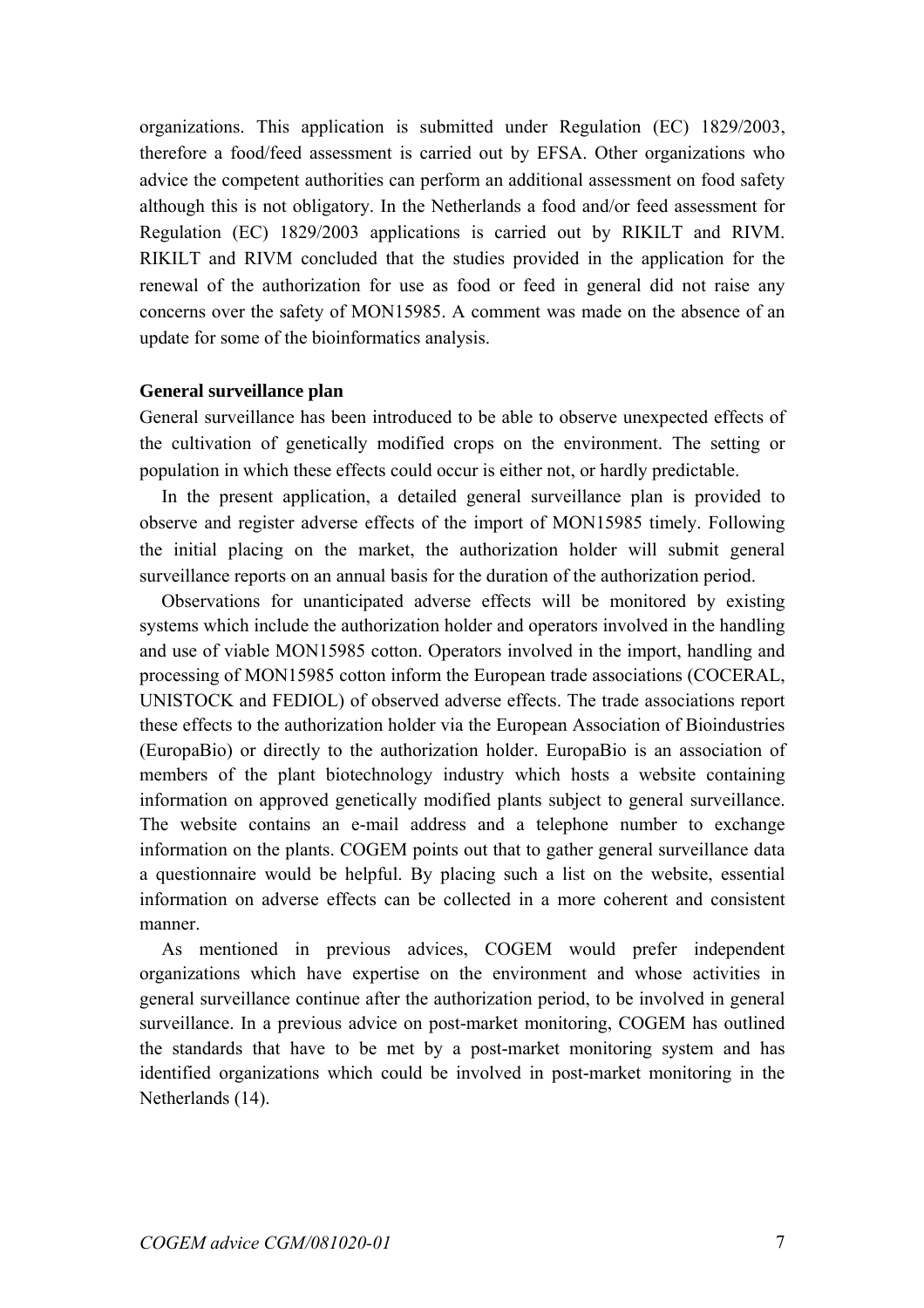organizations. This application is submitted under Regulation (EC) 1829/2003, therefore a food/feed assessment is carried out by EFSA. Other organizations who advice the competent authorities can perform an additional assessment on food safety although this is not obligatory. In the Netherlands a food and/or feed assessment for Regulation (EC) 1829/2003 applications is carried out by RIKILT and RIVM. RIKILT and RIVM concluded that the studies provided in the application for the renewal of the authorization for use as food or feed in general did not raise any concerns over the safety of MON15985. A comment was made on the absence of an update for some of the bioinformatics analysis.

### **General surveillance plan**

General surveillance has been introduced to be able to observe unexpected effects of the cultivation of genetically modified crops on the environment. The setting or population in which these effects could occur is either not, or hardly predictable.

In the present application, a detailed general surveillance plan is provided to observe and register adverse effects of the import of MON15985 timely. Following the initial placing on the market, the authorization holder will submit general surveillance reports on an annual basis for the duration of the authorization period.

Observations for unanticipated adverse effects will be monitored by existing systems which include the authorization holder and operators involved in the handling and use of viable MON15985 cotton. Operators involved in the import, handling and processing of MON15985 cotton inform the European trade associations (COCERAL, UNISTOCK and FEDIOL) of observed adverse effects. The trade associations report these effects to the authorization holder via the European Association of Bioindustries (EuropaBio) or directly to the authorization holder. EuropaBio is an association of members of the plant biotechnology industry which hosts a website containing information on approved genetically modified plants subject to general surveillance. The website contains an e-mail address and a telephone number to exchange information on the plants. COGEM points out that to gather general surveillance data a questionnaire would be helpful. By placing such a list on the website, essential information on adverse effects can be collected in a more coherent and consistent manner.

As mentioned in previous advices, COGEM would prefer independent organizations which have expertise on the environment and whose activities in general surveillance continue after the authorization period, to be involved in general surveillance. In a previous advice on post-market monitoring, COGEM has outlined the standards that have to be met by a post-market monitoring system and has identified organizations which could be involved in post-market monitoring in the Netherlands (14).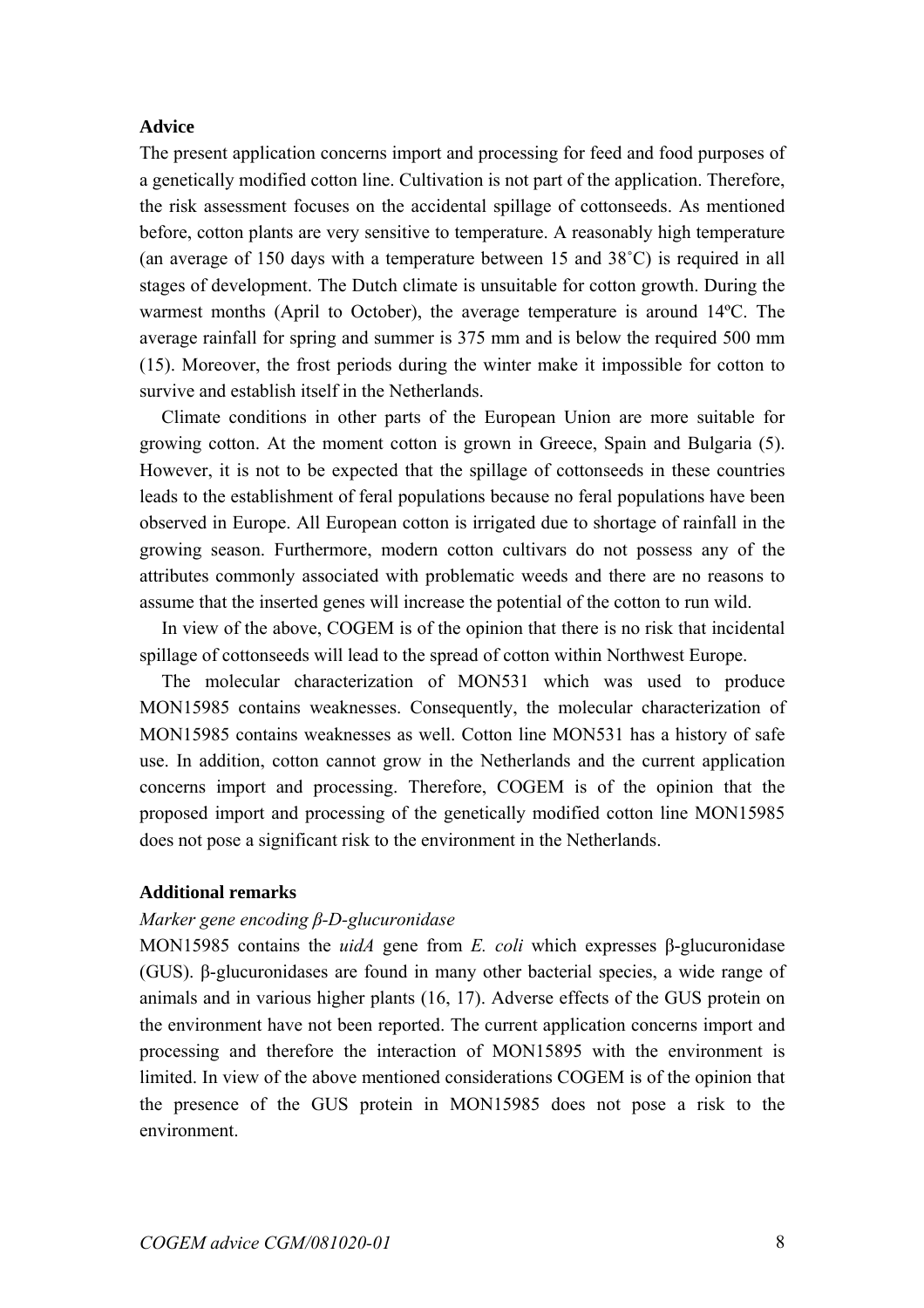## **Advice**

The present application concerns import and processing for feed and food purposes of a genetically modified cotton line. Cultivation is not part of the application. Therefore, the risk assessment focuses on the accidental spillage of cottonseeds. As mentioned before, cotton plants are very sensitive to temperature. A reasonably high temperature (an average of 150 days with a temperature between 15 and 38˚C) is required in all stages of development. The Dutch climate is unsuitable for cotton growth. During the warmest months (April to October), the average temperature is around 14ºC. The average rainfall for spring and summer is 375 mm and is below the required 500 mm (15). Moreover, the frost periods during the winter make it impossible for cotton to survive and establish itself in the Netherlands.

 Climate conditions in other parts of the European Union are more suitable for growing cotton. At the moment cotton is grown in Greece, Spain and Bulgaria (5). However, it is not to be expected that the spillage of cottonseeds in these countries leads to the establishment of feral populations because no feral populations have been observed in Europe. All European cotton is irrigated due to shortage of rainfall in the growing season. Furthermore, modern cotton cultivars do not possess any of the attributes commonly associated with problematic weeds and there are no reasons to assume that the inserted genes will increase the potential of the cotton to run wild.

 In view of the above, COGEM is of the opinion that there is no risk that incidental spillage of cottonseeds will lead to the spread of cotton within Northwest Europe.

 The molecular characterization of MON531 which was used to produce MON15985 contains weaknesses. Consequently, the molecular characterization of MON15985 contains weaknesses as well. Cotton line MON531 has a history of safe use. In addition, cotton cannot grow in the Netherlands and the current application concerns import and processing. Therefore, COGEM is of the opinion that the proposed import and processing of the genetically modified cotton line MON15985 does not pose a significant risk to the environment in the Netherlands.

# **Additional remarks**

#### *Marker gene encoding β-D-glucuronidase*

MON15985 contains the *uidA* gene from *E. coli* which expresses β-glucuronidase (GUS). β-glucuronidases are found in many other bacterial species, a wide range of animals and in various higher plants (16, 17). Adverse effects of the GUS protein on the environment have not been reported. The current application concerns import and processing and therefore the interaction of MON15895 with the environment is limited. In view of the above mentioned considerations COGEM is of the opinion that the presence of the GUS protein in MON15985 does not pose a risk to the environment.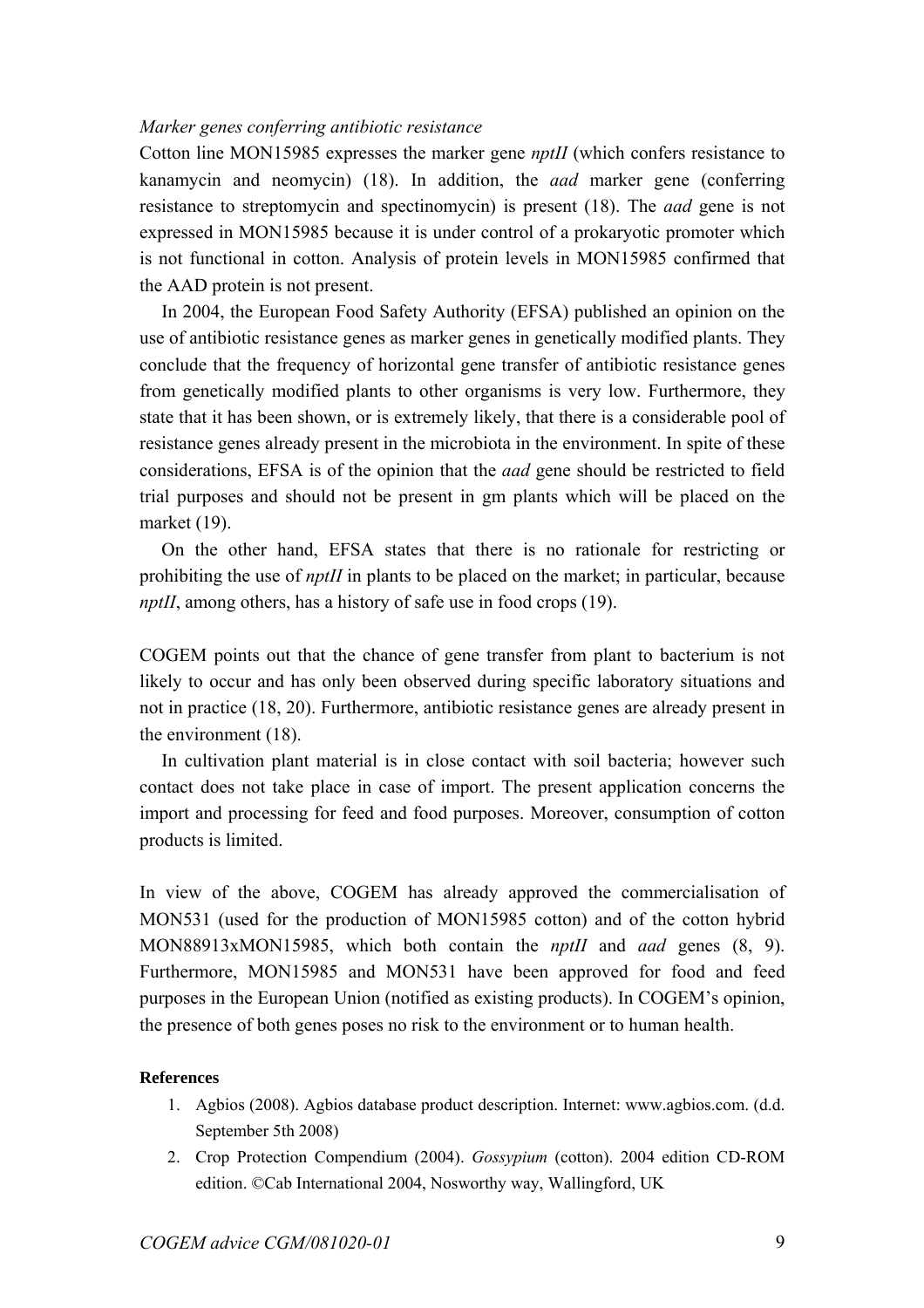# *Marker genes conferring antibiotic resistance*

Cotton line MON15985 expresses the marker gene *nptII* (which confers resistance to kanamycin and neomycin) (18). In addition, the *aad* marker gene (conferring resistance to streptomycin and spectinomycin) is present (18). The *aad* gene is not expressed in MON15985 because it is under control of a prokaryotic promoter which is not functional in cotton. Analysis of protein levels in MON15985 confirmed that the AAD protein is not present.

 In 2004, the European Food Safety Authority (EFSA) published an opinion on the use of antibiotic resistance genes as marker genes in genetically modified plants. They conclude that the frequency of horizontal gene transfer of antibiotic resistance genes from genetically modified plants to other organisms is very low. Furthermore, they state that it has been shown, or is extremely likely, that there is a considerable pool of resistance genes already present in the microbiota in the environment. In spite of these considerations, EFSA is of the opinion that the *aad* gene should be restricted to field trial purposes and should not be present in gm plants which will be placed on the market (19).

 On the other hand, EFSA states that there is no rationale for restricting or prohibiting the use of *nptII* in plants to be placed on the market; in particular, because *nptII*, among others, has a history of safe use in food crops (19).

COGEM points out that the chance of gene transfer from plant to bacterium is not likely to occur and has only been observed during specific laboratory situations and not in practice (18, 20). Furthermore, antibiotic resistance genes are already present in the environment (18).

 In cultivation plant material is in close contact with soil bacteria; however such contact does not take place in case of import. The present application concerns the import and processing for feed and food purposes. Moreover, consumption of cotton products is limited.

In view of the above, COGEM has already approved the commercialisation of MON531 (used for the production of MON15985 cotton) and of the cotton hybrid MON88913xMON15985, which both contain the *nptII* and *aad* genes (8, 9). Furthermore, MON15985 and MON531 have been approved for food and feed purposes in the European Union (notified as existing products). In COGEM's opinion, the presence of both genes poses no risk to the environment or to human health.

### **References**

- 1. Agbios (2008). Agbios database product description. Internet: www.agbios.com. (d.d. September 5th 2008)
- 2. Crop Protection Compendium (2004). *Gossypium* (cotton). 2004 edition CD-ROM edition. ©Cab International 2004, Nosworthy way, Wallingford, UK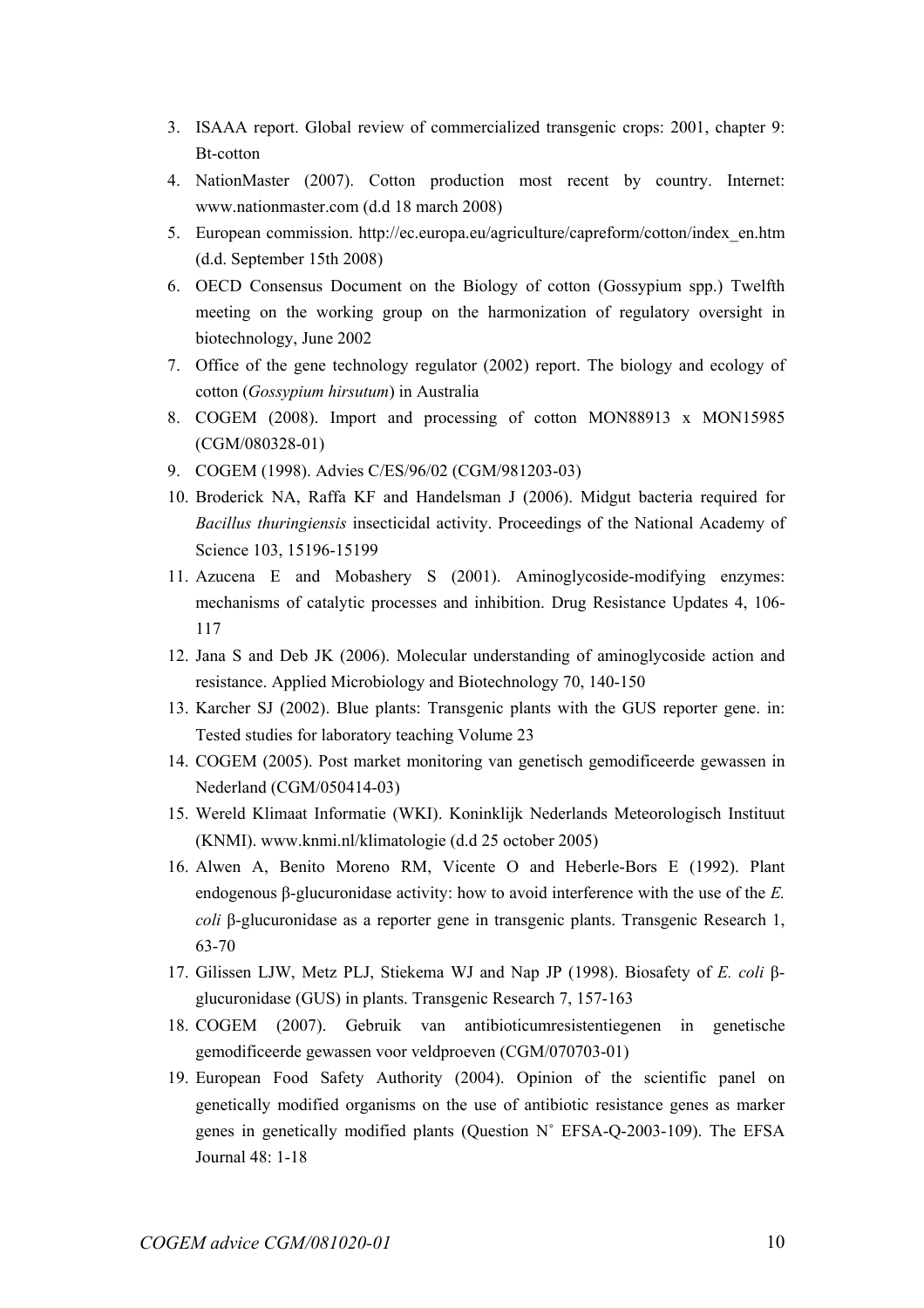- 3. ISAAA report. Global review of commercialized transgenic crops: 2001, chapter 9: Bt-cotton
- 4. NationMaster (2007). Cotton production most recent by country. Internet: www.nationmaster.com (d.d 18 march 2008)
- 5. European commission. http://ec.europa.eu/agriculture/capreform/cotton/index\_en.htm (d.d. September 15th 2008)
- 6. OECD Consensus Document on the Biology of cotton (Gossypium spp.) Twelfth meeting on the working group on the harmonization of regulatory oversight in biotechnology, June 2002
- 7. Office of the gene technology regulator (2002) report. The biology and ecology of cotton (*Gossypium hirsutum*) in Australia
- 8. COGEM (2008). Import and processing of cotton MON88913 x MON15985 (CGM/080328-01)
- 9. COGEM (1998). Advies C/ES/96/02 (CGM/981203-03)
- 10. Broderick NA, Raffa KF and Handelsman J (2006). Midgut bacteria required for *Bacillus thuringiensis* insecticidal activity. Proceedings of the National Academy of Science 103, 15196-15199
- 11. Azucena E and Mobashery S (2001). Aminoglycoside-modifying enzymes: mechanisms of catalytic processes and inhibition. Drug Resistance Updates 4, 106- 117
- 12. Jana S and Deb JK (2006). Molecular understanding of aminoglycoside action and resistance. Applied Microbiology and Biotechnology 70, 140-150
- 13. Karcher SJ (2002). Blue plants: Transgenic plants with the GUS reporter gene. in: Tested studies for laboratory teaching Volume 23
- 14. COGEM (2005). Post market monitoring van genetisch gemodificeerde gewassen in Nederland (CGM/050414-03)
- 15. Wereld Klimaat Informatie (WKI). Koninklijk Nederlands Meteorologisch Instituut (KNMI). www.knmi.nl/klimatologie (d.d 25 october 2005)
- 16. Alwen A, Benito Moreno RM, Vicente O and Heberle-Bors E (1992). Plant endogenous β-glucuronidase activity: how to avoid interference with the use of the *E. coli* β-glucuronidase as a reporter gene in transgenic plants. Transgenic Research 1, 63-70
- 17. Gilissen LJW, Metz PLJ, Stiekema WJ and Nap JP (1998). Biosafety of *E. coli* βglucuronidase (GUS) in plants. Transgenic Research 7, 157-163
- 18. COGEM (2007). Gebruik van antibioticumresistentiegenen in genetische gemodificeerde gewassen voor veldproeven (CGM/070703-01)
- 19. European Food Safety Authority (2004). Opinion of the scientific panel on genetically modified organisms on the use of antibiotic resistance genes as marker genes in genetically modified plants (Question N˚ EFSA-Q-2003-109). The EFSA Journal 48: 1-18